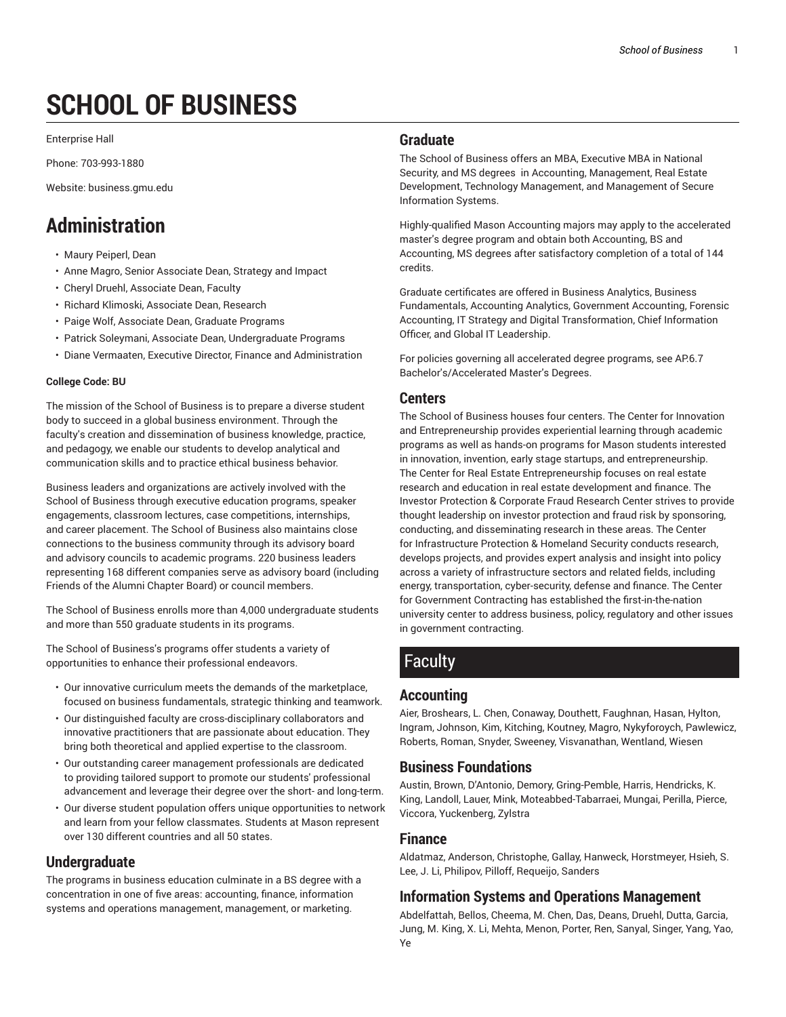# **SCHOOL OF BUSINESS**

Enterprise Hall

Phone: 703-993-1880

Website: business.gmu.edu

## **Administration**

- Maury Peiperl, Dean
- Anne Magro, Senior Associate Dean, Strategy and Impact
- Cheryl Druehl, Associate Dean, Faculty
- Richard Klimoski, Associate Dean, Research
- Paige Wolf, Associate Dean, Graduate Programs
- Patrick Soleymani, Associate Dean, Undergraduate Programs
- Diane Vermaaten, Executive Director, Finance and Administration

#### **College Code: BU**

The mission of the School of Business is to prepare a diverse student body to succeed in a global business environment. Through the faculty's creation and dissemination of business knowledge, practice, and pedagogy, we enable our students to develop analytical and communication skills and to practice ethical business behavior.

Business leaders and organizations are actively involved with the School of Business through executive education programs, speaker engagements, classroom lectures, case competitions, internships, and career placement. The School of Business also maintains close connections to the business community through its advisory board and advisory councils to academic programs. 220 business leaders representing 168 different companies serve as advisory board (including Friends of the Alumni Chapter Board) or council members.

The School of Business enrolls more than 4,000 undergraduate students and more than 550 graduate students in its programs.

The School of Business's programs offer students a variety of opportunities to enhance their professional endeavors.

- Our innovative curriculum meets the demands of the marketplace, focused on business fundamentals, strategic thinking and teamwork.
- Our distinguished faculty are cross-disciplinary collaborators and innovative practitioners that are passionate about education. They bring both theoretical and applied expertise to the classroom.
- Our outstanding career management professionals are dedicated to providing tailored support to promote our students' professional advancement and leverage their degree over the short- and long-term.
- Our diverse student population offers unique opportunities to network and learn from your fellow classmates. Students at Mason represent over 130 different countries and all 50 states.

## **Undergraduate**

The programs in business education culminate in a BS degree with a concentration in one of five areas: accounting, finance, information systems and operations management, management, or marketing.

## **Graduate**

The School of Business offers an MBA, Executive MBA in National Security, and MS degrees in Accounting, Management, Real Estate Development, Technology Management, and Management of Secure Information Systems.

Highly-qualified Mason Accounting majors may apply to the accelerated master's degree program and obtain both Accounting, BS and Accounting, MS degrees after satisfactory completion of a total of 144 credits.

Graduate certificates are offered in Business Analytics, Business Fundamentals, Accounting Analytics, Government Accounting, Forensic Accounting, IT Strategy and Digital Transformation, Chief Information Officer, and Global IT Leadership.

For policies governing all accelerated degree programs, see AP.6.7 Bachelor's/Accelerated Master's Degrees.

## **Centers**

The School of Business houses four centers. The Center for Innovation and Entrepreneurship provides experiential learning through academic programs as well as hands-on programs for Mason students interested in innovation, invention, early stage startups, and entrepreneurship. The Center for Real Estate Entrepreneurship focuses on real estate research and education in real estate development and finance. The Investor Protection & Corporate Fraud Research Center strives to provide thought leadership on investor protection and fraud risk by sponsoring, conducting, and disseminating research in these areas. The Center for Infrastructure Protection & Homeland Security conducts research, develops projects, and provides expert analysis and insight into policy across a variety of infrastructure sectors and related fields, including energy, transportation, cyber-security, defense and finance. The Center for Government Contracting has established the first-in-the-nation university center to address business, policy, regulatory and other issues in government contracting.

## Faculty

## **Accounting**

Aier, Broshears, L. Chen, Conaway, Douthett, Faughnan, Hasan, Hylton, Ingram, Johnson, Kim, Kitching, Koutney, Magro, Nykyforoych, Pawlewicz, Roberts, Roman, Snyder, Sweeney, Visvanathan, Wentland, Wiesen

## **Business Foundations**

Austin, Brown, D'Antonio, Demory, Gring-Pemble, Harris, Hendricks, K. King, Landoll, Lauer, Mink, Moteabbed-Tabarraei, Mungai, Perilla, Pierce, Viccora, Yuckenberg, Zylstra

## **Finance**

Aldatmaz, Anderson, Christophe, Gallay, Hanweck, Horstmeyer, Hsieh, S. Lee, J. Li, Philipov, Pilloff, Requeijo, Sanders

## **Information Systems and Operations Management**

Abdelfattah, Bellos, Cheema, M. Chen, Das, Deans, Druehl, Dutta, Garcia, Jung, M. King, X. Li, Mehta, Menon, Porter, Ren, Sanyal, Singer, Yang, Yao, Ye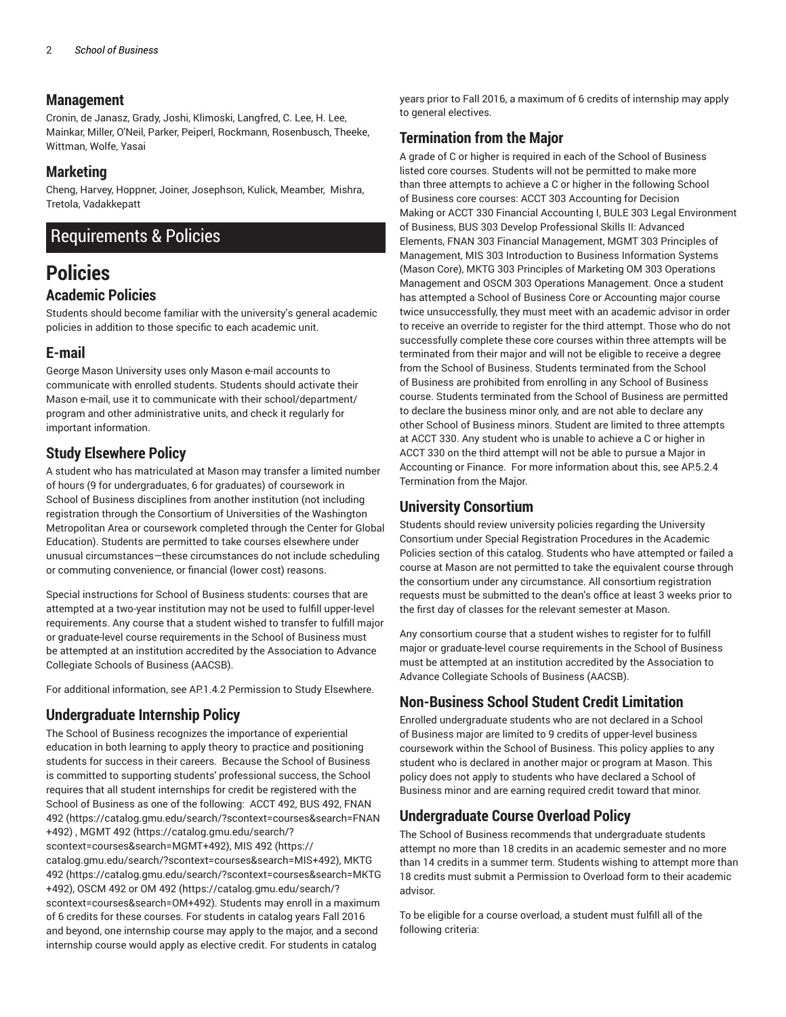#### **Management**

Cronin, de Janasz, Grady, Joshi, Klimoski, Langfred, C. Lee, H. Lee, Mainkar, Miller, O'Neil, Parker, Peiperl, Rockmann, Rosenbusch, Theeke, Wittman, Wolfe, Yasai

## **Marketing**

Cheng, Harvey, Hoppner, Joiner, Josephson, Kulick, Meamber, Mishra, Tretola, Vadakkepatt

## Requirements & Policies

## **Policies Academic Policies**

Students should become familiar with the university's general academic policies in addition to those specific to each academic unit.

## **E-mail**

George Mason University uses only Mason e-mail accounts to communicate with enrolled students. Students should activate their Mason e-mail, use it to communicate with their school/department/ program and other administrative units, and check it regularly for important information.

## **Study Elsewhere Policy**

A student who has matriculated at Mason may transfer a limited number of hours (9 for undergraduates, 6 for graduates) of coursework in School of Business disciplines from another institution (not including registration through the Consortium of Universities of the Washington Metropolitan Area or coursework completed through the Center for Global Education). Students are permitted to take courses elsewhere under unusual circumstances—these circumstances do not include scheduling or commuting convenience, or financial (lower cost) reasons.

Special instructions for School of Business students: courses that are attempted at a two-year institution may not be used to fulfill upper-level requirements. Any course that a student wished to transfer to fulfill major or graduate-level course requirements in the School of Business must be attempted at an institution accredited by the Association to Advance Collegiate Schools of Business (AACSB).

For additional information, see AP.1.4.2 Permission to Study Elsewhere.

## **Undergraduate Internship Policy**

The School of Business recognizes the importance of experiential education in both learning to apply theory to practice and positioning students for success in their careers. Because the School of Business is committed to supporting students' professional success, the School requires that all student internships for credit be registered with the School of Business as one of the following: ACCT 492, BUS 492, FNAN 492 (https://catalog.gmu.edu/search/?scontext=courses&search=FNAN +492) , MGMT 492 (https://catalog.gmu.edu/search/? scontext=courses&search=MGMT+492), MIS 492 (https:// catalog.gmu.edu/search/?scontext=courses&search=MIS+492), MKTG 492 (https://catalog.gmu.edu/search/?scontext=courses&search=MKTG +492), OSCM 492 or OM 492 (https://catalog.gmu.edu/search/? scontext=courses&search=OM+492). Students may enroll in a maximum of 6 credits for these courses. For students in catalog years Fall 2016 and beyond, one internship course may apply to the major, and a second internship course would apply as elective credit. For students in catalog

years prior to Fall 2016, a maximum of 6 credits of internship may apply to general electives.

## **Termination from the Major**

A grade of C or higher is required in each of the School of Business listed core courses. Students will not be permitted to make more than three attempts to achieve a C or higher in the following School of Business core courses: ACCT 303 Accounting for Decision Making or ACCT 330 Financial Accounting I, BULE 303 Legal Environment of Business, BUS 303 Develop Professional Skills II: Advanced Elements, FNAN 303 Financial Management, MGMT 303 Principles of Management, MIS 303 Introduction to Business Information Systems (Mason Core), MKTG 303 Principles of Marketing OM 303 Operations Management and OSCM 303 Operations Management. Once a student has attempted a School of Business Core or Accounting major course twice unsuccessfully, they must meet with an academic advisor in order to receive an override to register for the third attempt. Those who do not successfully complete these core courses within three attempts will be terminated from their major and will not be eligible to receive a degree from the School of Business. Students terminated from the School of Business are prohibited from enrolling in any School of Business course. Students terminated from the School of Business are permitted to declare the business minor only, and are not able to declare any other School of Business minors. Student are limited to three attempts at ACCT 330. Any student who is unable to achieve a C or higher in ACCT 330 on the third attempt will not be able to pursue a Major in Accounting or Finance. For more information about this, see AP.5.2.4 Termination from the Major.

## **University Consortium**

Students should review university policies regarding the University Consortium under Special Registration Procedures in the Academic Policies section of this catalog. Students who have attempted or failed a course at Mason are not permitted to take the equivalent course through the consortium under any circumstance. All consortium registration requests must be submitted to the dean's office at least 3 weeks prior to the first day of classes for the relevant semester at Mason.

Any consortium course that a student wishes to register for to fulfill major or graduate-level course requirements in the School of Business must be attempted at an institution accredited by the Association to Advance Collegiate Schools of Business (AACSB).

## **Non-Business School Student Credit Limitation**

Enrolled undergraduate students who are not declared in a School of Business major are limited to 9 credits of upper-level business coursework within the School of Business. This policy applies to any student who is declared in another major or program at Mason. This policy does not apply to students who have declared a School of Business minor and are earning required credit toward that minor.

## **Undergraduate Course Overload Policy**

The School of Business recommends that undergraduate students attempt no more than 18 credits in an academic semester and no more than 14 credits in a summer term. Students wishing to attempt more than 18 credits must submit a Permission to Overload form to their academic advisor.

To be eligible for a course overload, a student must fulfill all of the following criteria: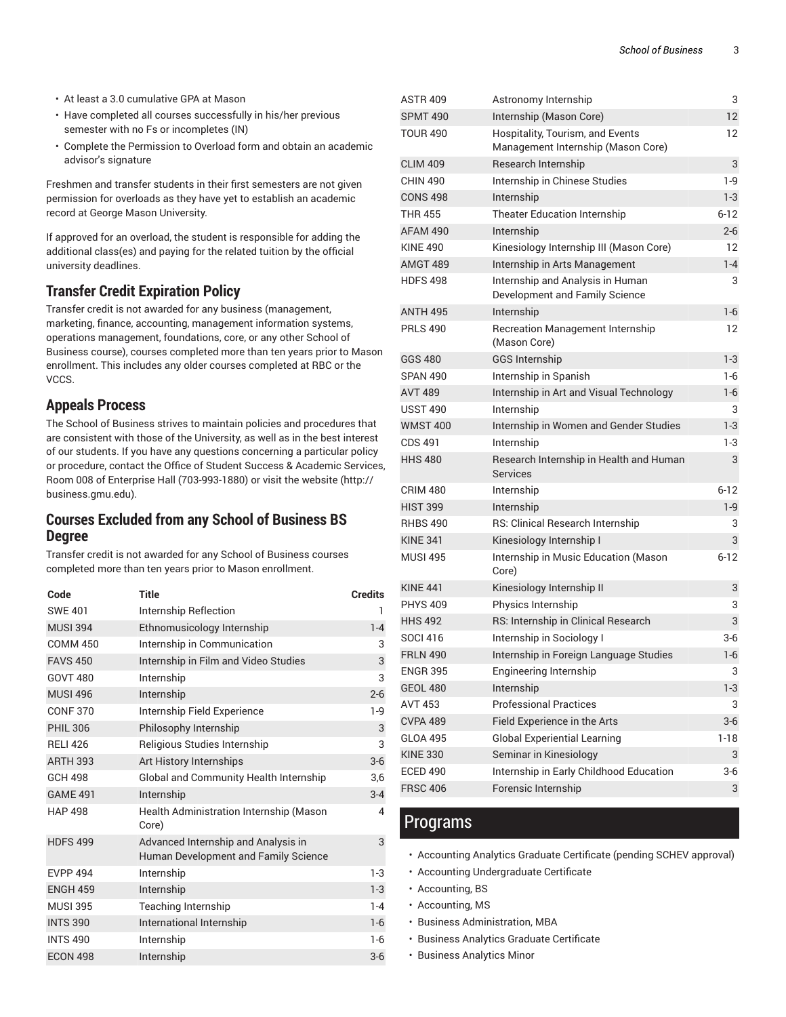- At least a 3.0 cumulative GPA at Mason
- Have completed all courses successfully in his/her previous semester with no Fs or incompletes (IN)
- Complete the Permission to Overload form and obtain an academic advisor's signature

Freshmen and transfer students in their first semesters are not given permission for overloads as they have yet to establish an academic record at George Mason University.

If approved for an overload, the student is responsible for adding the additional class(es) and paying for the related tuition by the official university deadlines.

## **Transfer Credit Expiration Policy**

Transfer credit is not awarded for any business (management, marketing, finance, accounting, management information systems, operations management, foundations, core, or any other School of Business course), courses completed more than ten years prior to Mason enrollment. This includes any older courses completed at RBC or the VCCS.

## **Appeals Process**

The School of Business strives to maintain policies and procedures that are consistent with those of the University, as well as in the best interest of our students. If you have any questions concerning a particular policy or procedure, contact the Office of Student Success & Academic Services, Room 008 of Enterprise Hall (703-993-1880) or visit the website (http:// business.gmu.edu).

## **Courses Excluded from any School of Business BS Degree**

Transfer credit is not awarded for any School of Business courses completed more than ten years prior to Mason enrollment.

| Code            | Title                                                                       | <b>Credits</b> |
|-----------------|-----------------------------------------------------------------------------|----------------|
| <b>SWE 401</b>  | Internship Reflection                                                       | 1              |
| <b>MUSI 394</b> | Ethnomusicology Internship                                                  | $1 - 4$        |
| <b>COMM 450</b> | Internship in Communication                                                 | 3              |
| <b>FAVS 450</b> | Internship in Film and Video Studies                                        | 3              |
| <b>GOVT 480</b> | Internship                                                                  | 3              |
| <b>MUSI 496</b> | Internship                                                                  | $2 - 6$        |
| <b>CONF 370</b> | Internship Field Experience                                                 | $1-9$          |
| <b>PHIL 306</b> | Philosophy Internship                                                       | 3              |
| <b>RELI 426</b> | Religious Studies Internship                                                | 3              |
| <b>ARTH 393</b> | Art History Internships                                                     | $3-6$          |
| <b>GCH 498</b>  | Global and Community Health Internship                                      | 3,6            |
| <b>GAME 491</b> | Internship                                                                  | $3 - 4$        |
| <b>HAP 498</b>  | Health Administration Internship (Mason<br>Core)                            | 4              |
| <b>HDFS 499</b> | Advanced Internship and Analysis in<br>Human Development and Family Science | 3              |
| <b>EVPP 494</b> | Internship                                                                  | $1-3$          |
| <b>ENGH 459</b> | Internship                                                                  | $1-3$          |
| <b>MUSI 395</b> | Teaching Internship                                                         | $1 - 4$        |
| <b>INTS 390</b> | International Internship                                                    | $1-6$          |
| <b>INTS 490</b> | Internship                                                                  | $1-6$          |
| <b>ECON 498</b> | Internship                                                                  | $3-6$          |

| <b>ASTR 409</b> | Astronomy Internship                                                   | 3        |
|-----------------|------------------------------------------------------------------------|----------|
| <b>SPMT 490</b> | Internship (Mason Core)                                                | 12       |
| <b>TOUR 490</b> | Hospitality, Tourism, and Events<br>Management Internship (Mason Core) | 12       |
| <b>CLIM 409</b> | Research Internship                                                    | 3        |
| <b>CHIN 490</b> | Internship in Chinese Studies                                          | $1-9$    |
| <b>CONS 498</b> | Internship                                                             | $1-3$    |
| <b>THR 455</b>  | <b>Theater Education Internship</b>                                    | $6 - 12$ |
| AFAM 490        | Internship                                                             | $2 - 6$  |
| <b>KINE 490</b> | Kinesiology Internship III (Mason Core)                                | 12       |
| <b>AMGT 489</b> | Internship in Arts Management                                          | $1 - 4$  |
| <b>HDFS 498</b> | Internship and Analysis in Human<br>Development and Family Science     | 3        |
| <b>ANTH 495</b> | Internship                                                             | $1 - 6$  |
| <b>PRLS 490</b> | <b>Recreation Management Internship</b><br>(Mason Core)                | 12       |
| <b>GGS 480</b>  | <b>GGS Internship</b>                                                  | $1 - 3$  |
| <b>SPAN 490</b> | Internship in Spanish                                                  | 1-6      |
| <b>AVT 489</b>  | Internship in Art and Visual Technology                                | 1-6      |
| <b>USST 490</b> | Internship                                                             | 3        |
| <b>WMST 400</b> | Internship in Women and Gender Studies                                 | $1-3$    |
| CDS 491         | Internship                                                             | $1-3$    |
| <b>HHS 480</b>  | Research Internship in Health and Human<br>Services                    | 3        |
| <b>CRIM 480</b> | Internship                                                             | $6 - 12$ |
| <b>HIST 399</b> | Internship                                                             | $1-9$    |
| <b>RHBS 490</b> | RS: Clinical Research Internship                                       | 3        |
| <b>KINE 341</b> | Kinesiology Internship I                                               | 3        |
| <b>MUSI 495</b> | Internship in Music Education (Mason<br>Core)                          | $6 - 12$ |
| <b>KINE 441</b> | Kinesiology Internship II                                              | 3        |
| <b>PHYS 409</b> | Physics Internship                                                     | 3        |
| <b>HHS 492</b>  | RS: Internship in Clinical Research                                    | 3        |
| SOCI 416        | Internship in Sociology I                                              | $3-6$    |
| <b>FRLN 490</b> | Internship in Foreign Language Studies                                 | 1-6      |
| <b>ENGR 395</b> | Engineering Internship                                                 | 3        |
| <b>GEOL 480</b> | Internship                                                             | $1-3$    |
| <b>AVT 453</b>  | <b>Professional Practices</b>                                          | 3        |
| <b>CVPA 489</b> | Field Experience in the Arts                                           | 3-6      |
| <b>GLOA 495</b> | <b>Global Experiential Learning</b>                                    | $1-18$   |
| <b>KINE 330</b> | Seminar in Kinesiology                                                 | 3        |
| <b>ECED 490</b> | Internship in Early Childhood Education                                | $3-6$    |
| <b>FRSC 406</b> | Forensic Internship                                                    | 3        |

## Programs

- Accounting Analytics Graduate Certificate (pending SCHEV approval)
- Accounting Undergraduate Certificate
- Accounting, BS
- Accounting, MS
- Business Administration, MBA
- Business Analytics Graduate Certificate
- Business Analytics Minor